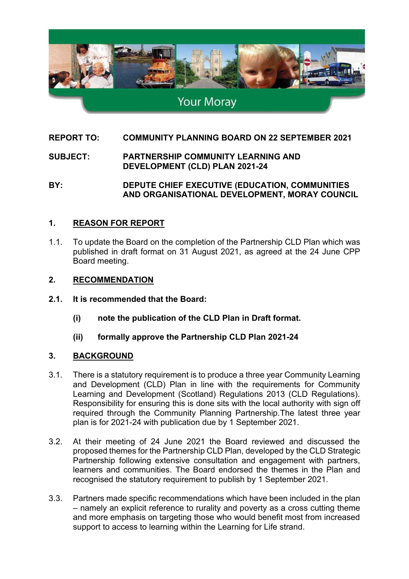

# **Your Moray**

## **REPORT TO: COMMUNITY PLANNING BOARD ON 22 SEPTEMBER 2021**

**SUBJECT: PARTNERSHIP COMMUNITY LEARNING AND DEVELOPMENT (CLD) PLAN 2021-24**

**BY: DEPUTE CHIEF EXECUTIVE (EDUCATION, COMMUNITIES AND ORGANISATIONAL DEVELOPMENT, MORAY COUNCIL** 

## **1. REASON FOR REPORT**

1.1. To update the Board on the completion of the Partnership CLD Plan which was published in draft format on 31 August 2021, as agreed at the 24 June CPP Board meeting.

#### **2. RECOMMENDATION**

- **2.1. It is recommended that the Board:** 
	- **(i) note the publication of the CLD Plan in Draft format.**
	- **(ii) formally approve the Partnership CLD Plan 2021-24**

## **3. BACKGROUND**

- 3.1. There is a statutory requirement is to produce a three year Community Learning and Development (CLD) Plan in line with the requirements for Community Learning and Development (Scotland) Regulations 2013 (CLD Regulations). Responsibility for ensuring this is done sits with the local authority with sign off required through the Community Planning Partnership.The latest three year plan is for 2021-24 with publication due by 1 September 2021.
- 3.2. At their meeting of 24 June 2021 the Board reviewed and discussed the proposed themes for the Partnership CLD Plan, developed by the CLD Strategic Partnership following extensive consultation and engagement with partners, learners and communities. The Board endorsed the themes in the Plan and recognised the statutory requirement to publish by 1 September 2021.
- 3.3. Partners made specific recommendations which have been included in the plan – namely an explicit reference to rurality and poverty as a cross cutting theme and more emphasis on targeting those who would benefit most from increased support to access to learning within the Learning for Life strand.